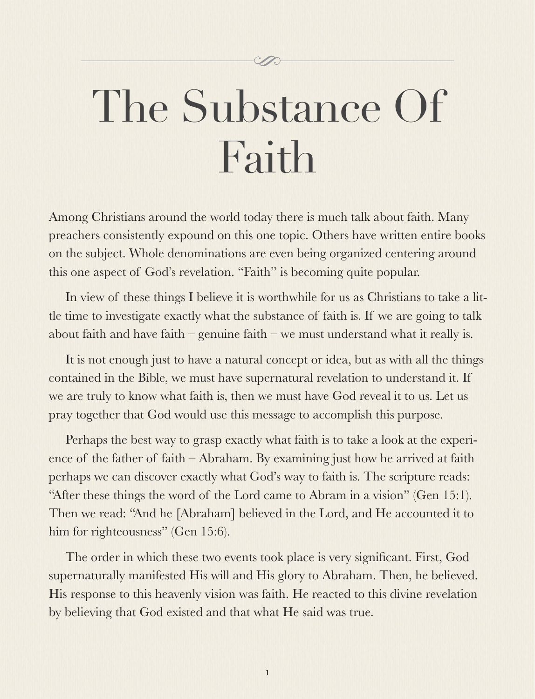## The Substance Of Faith

Among Christians around the world today there is much talk about faith. Many preachers consistently expound on this one topic. Others have written entire books on the subject. Whole denominations are even being organized centering around this one aspect of God's revelation. "Faith" is becoming quite popular.

In view of these things I believe it is worthwhile for us as Christians to take a little time to investigate exactly what the substance of faith is. If we are going to talk about faith and have faith – genuine faith – we must understand what it really is.

It is not enough just to have a natural concept or idea, but as with all the things contained in the Bible, we must have supernatural revelation to understand it. If we are truly to know what faith is, then we must have God reveal it to us. Let us pray together that God would use this message to accomplish this purpose.

Perhaps the best way to grasp exactly what faith is to take a look at the experience of the father of faith – Abraham. By examining just how he arrived at faith perhaps we can discover exactly what God's way to faith is. The scripture reads: "After these things the word of the Lord came to Abram in a vision" (Gen 15:1). Then we read: "And he [Abraham] believed in the Lord, and He accounted it to him for righteousness" (Gen 15:6).

The order in which these two events took place is very significant. First, God supernaturally manifested His will and His glory to Abraham. Then, he believed. His response to this heavenly vision was faith. He reacted to this divine revelation by believing that God existed and that what He said was true.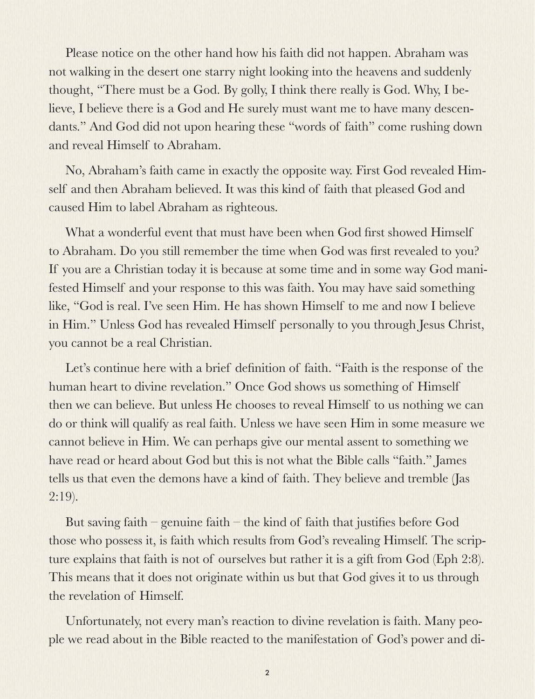Please notice on the other hand how his faith did not happen. Abraham was not walking in the desert one starry night looking into the heavens and suddenly thought, "There must be a God. By golly, I think there really is God. Why, I believe, I believe there is a God and He surely must want me to have many descendants." And God did not upon hearing these "words of faith" come rushing down and reveal Himself to Abraham.

No, Abraham's faith came in exactly the opposite way. First God revealed Himself and then Abraham believed. It was this kind of faith that pleased God and caused Him to label Abraham as righteous.

What a wonderful event that must have been when God first showed Himself to Abraham. Do you still remember the time when God was first revealed to you? If you are a Christian today it is because at some time and in some way God manifested Himself and your response to this was faith. You may have said something like, "God is real. I've seen Him. He has shown Himself to me and now I believe in Him." Unless God has revealed Himself personally to you through Jesus Christ, you cannot be a real Christian.

Let's continue here with a brief definition of faith. "Faith is the response of the human heart to divine revelation." Once God shows us something of Himself then we can believe. But unless He chooses to reveal Himself to us nothing we can do or think will qualify as real faith. Unless we have seen Him in some measure we cannot believe in Him. We can perhaps give our mental assent to something we have read or heard about God but this is not what the Bible calls "faith." James tells us that even the demons have a kind of faith. They believe and tremble (Jas 2:19).

But saving faith – genuine faith – the kind of faith that justifies before God those who possess it, is faith which results from God's revealing Himself. The scripture explains that faith is not of ourselves but rather it is a gift from God (Eph 2:8). This means that it does not originate within us but that God gives it to us through the revelation of Himself.

Unfortunately, not every man's reaction to divine revelation is faith. Many people we read about in the Bible reacted to the manifestation of God's power and di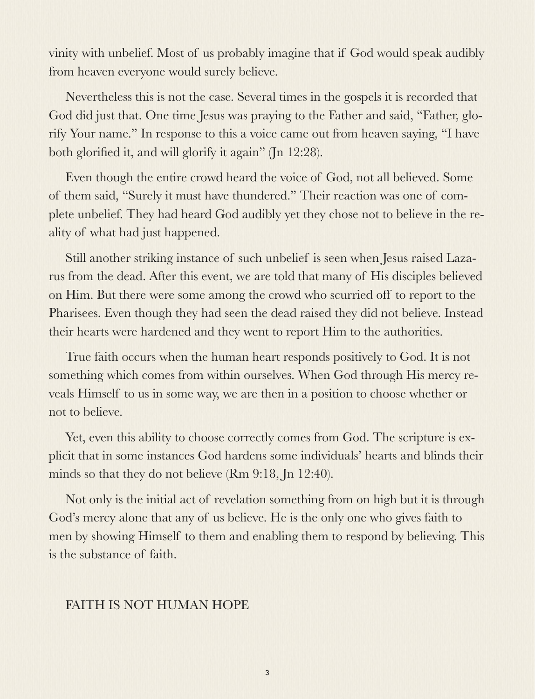vinity with unbelief. Most of us probably imagine that if God would speak audibly from heaven everyone would surely believe.

Nevertheless this is not the case. Several times in the gospels it is recorded that God did just that. One time Jesus was praying to the Father and said, "Father, glorify Your name." In response to this a voice came out from heaven saying, "I have both glorified it, and will glorify it again" (In 12:28).

Even though the entire crowd heard the voice of God, not all believed. Some of them said, "Surely it must have thundered." Their reaction was one of complete unbelief. They had heard God audibly yet they chose not to believe in the reality of what had just happened.

Still another striking instance of such unbelief is seen when Jesus raised Lazarus from the dead. After this event, we are told that many of His disciples believed on Him. But there were some among the crowd who scurried off to report to the Pharisees. Even though they had seen the dead raised they did not believe. Instead their hearts were hardened and they went to report Him to the authorities.

True faith occurs when the human heart responds positively to God. It is not something which comes from within ourselves. When God through His mercy reveals Himself to us in some way, we are then in a position to choose whether or not to believe.

Yet, even this ability to choose correctly comes from God. The scripture is explicit that in some instances God hardens some individuals' hearts and blinds their minds so that they do not believe (Rm 9:18, Jn 12:40).

Not only is the initial act of revelation something from on high but it is through God's mercy alone that any of us believe. He is the only one who gives faith to men by showing Himself to them and enabling them to respond by believing. This is the substance of faith.

## FAITH IS NOT HUMAN HOPE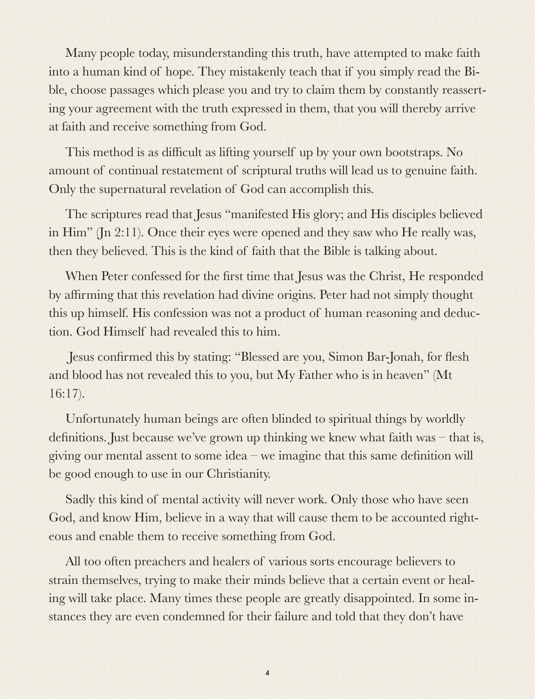Many people today, misunderstanding this truth, have attempted to make faith into a human kind of hope. They mistakenly teach that if you simply read the Bible, choose passages which please you and try to claim them by constantly reasserting your agreement with the truth expressed in them, that you will thereby arrive at faith and receive something from God.

This method is as difficult as lifting yourself up by your own bootstraps. No amount of continual restatement of scriptural truths will lead us to genuine faith. Only the supernatural revelation of God can accomplish this.

The scriptures read that Jesus "manifested His glory; and His disciples believed in Him" (Jn 2:11). Once their eyes were opened and they saw who He really was, then they believed. This is the kind of faith that the Bible is talking about.

When Peter confessed for the first time that Jesus was the Christ, He responded by affirming that this revelation had divine origins. Peter had not simply thought this up himself. His confession was not a product of human reasoning and deduction. God Himself had revealed this to him.

 Jesus confirmed this by stating: "Blessed are you, Simon Bar-Jonah, for flesh and blood has not revealed this to you, but My Father who is in heaven" (Mt 16:17).

Unfortunately human beings are often blinded to spiritual things by worldly definitions. Just because we've grown up thinking we knew what faith was – that is, giving our mental assent to some idea – we imagine that this same definition will be good enough to use in our Christianity.

Sadly this kind of mental activity will never work. Only those who have seen God, and know Him, believe in a way that will cause them to be accounted righteous and enable them to receive something from God.

All too often preachers and healers of various sorts encourage believers to strain themselves, trying to make their minds believe that a certain event or healing will take place. Many times these people are greatly disappointed. In some instances they are even condemned for their failure and told that they don't have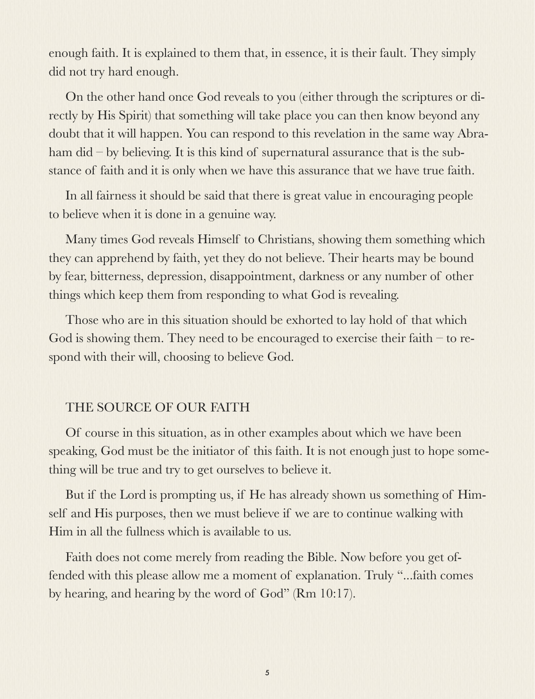enough faith. It is explained to them that, in essence, it is their fault. They simply did not try hard enough.

On the other hand once God reveals to you (either through the scriptures or directly by His Spirit) that something will take place you can then know beyond any doubt that it will happen. You can respond to this revelation in the same way Abraham did – by believing. It is this kind of supernatural assurance that is the substance of faith and it is only when we have this assurance that we have true faith.

In all fairness it should be said that there is great value in encouraging people to believe when it is done in a genuine way.

Many times God reveals Himself to Christians, showing them something which they can apprehend by faith, yet they do not believe. Their hearts may be bound by fear, bitterness, depression, disappointment, darkness or any number of other things which keep them from responding to what God is revealing.

Those who are in this situation should be exhorted to lay hold of that which God is showing them. They need to be encouraged to exercise their faith – to respond with their will, choosing to believe God.

## THE SOURCE OF OUR FAITH

Of course in this situation, as in other examples about which we have been speaking, God must be the initiator of this faith. It is not enough just to hope something will be true and try to get ourselves to believe it.

But if the Lord is prompting us, if He has already shown us something of Himself and His purposes, then we must believe if we are to continue walking with Him in all the fullness which is available to us.

Faith does not come merely from reading the Bible. Now before you get offended with this please allow me a moment of explanation. Truly "...faith comes by hearing, and hearing by the word of God" (Rm 10:17).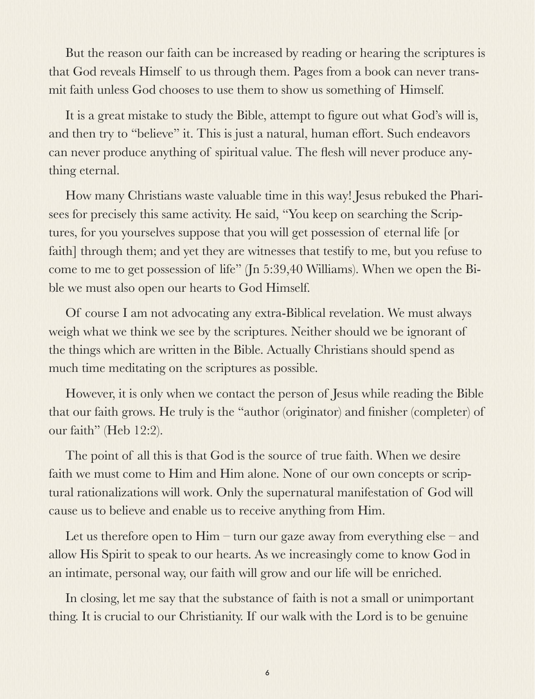But the reason our faith can be increased by reading or hearing the scriptures is that God reveals Himself to us through them. Pages from a book can never transmit faith unless God chooses to use them to show us something of Himself.

It is a great mistake to study the Bible, attempt to figure out what God's will is, and then try to "believe" it. This is just a natural, human effort. Such endeavors can never produce anything of spiritual value. The flesh will never produce anything eternal.

How many Christians waste valuable time in this way! Jesus rebuked the Pharisees for precisely this same activity. He said, "You keep on searching the Scriptures, for you yourselves suppose that you will get possession of eternal life [or faith] through them; and yet they are witnesses that testify to me, but you refuse to come to me to get possession of life" (Jn 5:39,40 Williams). When we open the Bible we must also open our hearts to God Himself.

Of course I am not advocating any extra-Biblical revelation. We must always weigh what we think we see by the scriptures. Neither should we be ignorant of the things which are written in the Bible. Actually Christians should spend as much time meditating on the scriptures as possible.

However, it is only when we contact the person of Jesus while reading the Bible that our faith grows. He truly is the "author (originator) and finisher (completer) of our faith" (Heb 12:2).

The point of all this is that God is the source of true faith. When we desire faith we must come to Him and Him alone. None of our own concepts or scriptural rationalizations will work. Only the supernatural manifestation of God will cause us to believe and enable us to receive anything from Him.

Let us therefore open to Him – turn our gaze away from everything else – and allow His Spirit to speak to our hearts. As we increasingly come to know God in an intimate, personal way, our faith will grow and our life will be enriched.

In closing, let me say that the substance of faith is not a small or unimportant thing. It is crucial to our Christianity. If our walk with the Lord is to be genuine